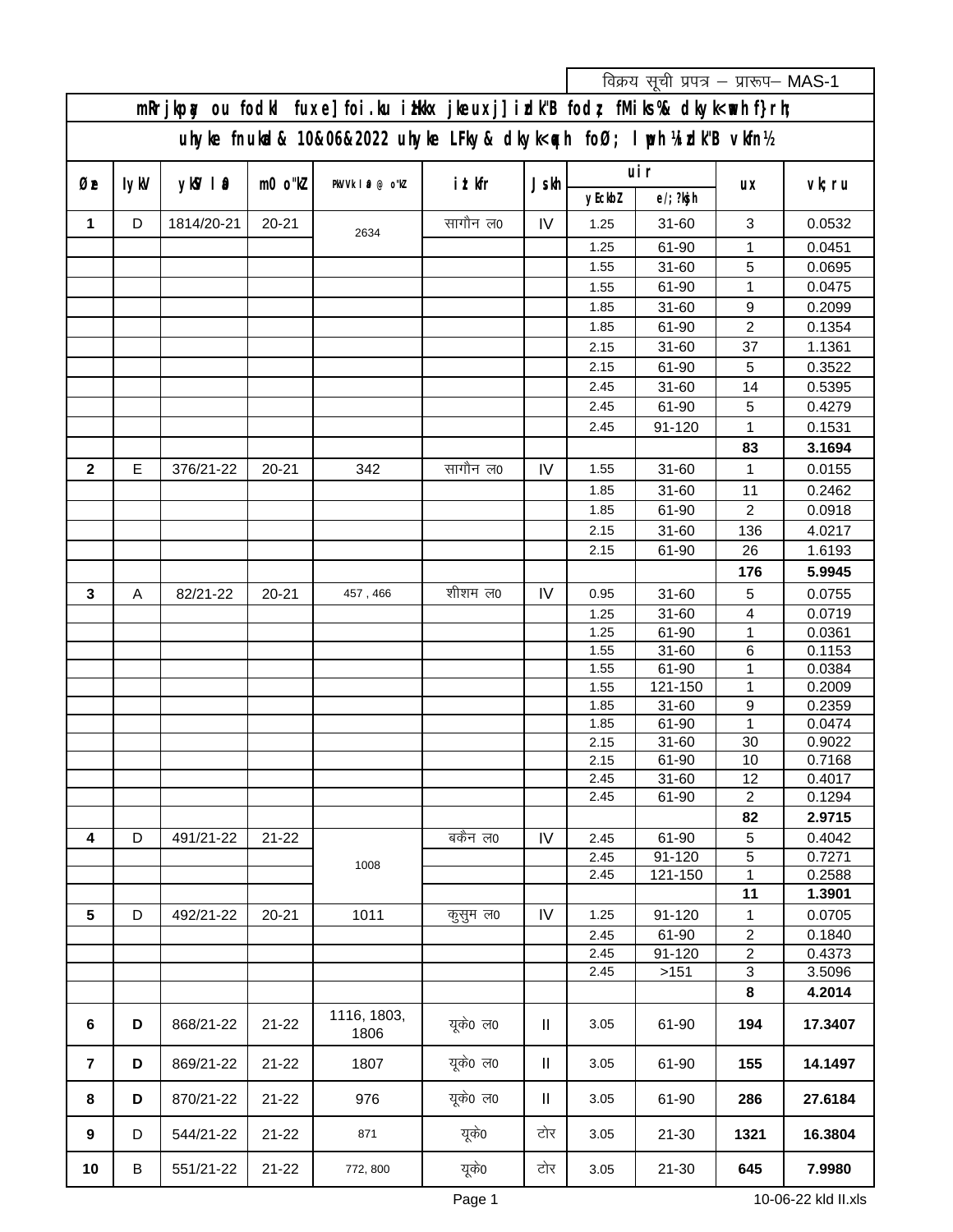|                                                                                       |                                                                                                     |            |           |                     |          |                     |              | विक्रय सूची प्रपत्र - प्रारूप- MAS-1 |                           |                  |  |
|---------------------------------------------------------------------------------------|-----------------------------------------------------------------------------------------------------|------------|-----------|---------------------|----------|---------------------|--------------|--------------------------------------|---------------------------|------------------|--|
|                                                                                       | mRrjkpay ou fodkl fuxe] foi .ku i Hkkx jkeuxj] i dk"B fodr, fMiks %& dkyk <wh f}rh;<="" td=""></wh> |            |           |                     |          |                     |              |                                      |                           |                  |  |
| uhyke fnukcl& 10&06&2022 uhyke LFky& dkyk <n></n> <mb> foØ; I iph ¼i idk"B vkfn½</mb> |                                                                                                     |            |           |                     |          |                     |              |                                      |                           |                  |  |
| Øe                                                                                    | lykV                                                                                                | $ykN + 0$  | $m0$ o"kl | PkVVk   0 @ o"kl    | ittkfr   | Js                  | yEckbl       | uir<br>$e$ /; ?kg h                  | <b>UX</b>                 | vk; ru           |  |
| 1                                                                                     | D                                                                                                   | 1814/20-21 | $20 - 21$ |                     | सागौन ल0 | IV                  | 1.25         | $31 - 60$                            | 3                         | 0.0532           |  |
|                                                                                       |                                                                                                     |            |           | 2634                |          |                     | 1.25         | 61-90                                | 1                         | 0.0451           |  |
|                                                                                       |                                                                                                     |            |           |                     |          |                     | 1.55         | $31 - 60$                            | 5                         | 0.0695           |  |
|                                                                                       |                                                                                                     |            |           |                     |          |                     | 1.55         | 61-90                                | 1                         | 0.0475           |  |
|                                                                                       |                                                                                                     |            |           |                     |          |                     | 1.85         | $31 - 60$                            | 9                         | 0.2099           |  |
|                                                                                       |                                                                                                     |            |           |                     |          |                     | 1.85         | 61-90                                | $\sqrt{2}$                | 0.1354           |  |
|                                                                                       |                                                                                                     |            |           |                     |          |                     | 2.15         | $31 - 60$                            | 37                        | 1.1361           |  |
|                                                                                       |                                                                                                     |            |           |                     |          |                     | 2.15         | 61-90                                | 5                         | 0.3522           |  |
|                                                                                       |                                                                                                     |            |           |                     |          |                     | 2.45         | $31 - 60$                            | 14                        | 0.5395           |  |
|                                                                                       |                                                                                                     |            |           |                     |          |                     | 2.45         | 61-90                                | 5                         | 0.4279           |  |
|                                                                                       |                                                                                                     |            |           |                     |          |                     | 2.45         | 91-120                               | $\mathbf{1}$              | 0.1531           |  |
|                                                                                       |                                                                                                     |            |           |                     |          |                     |              |                                      | 83                        | 3.1694           |  |
| $\mathbf 2$                                                                           | E                                                                                                   | 376/21-22  | $20 - 21$ | 342                 | सागौन ल0 | IV                  | 1.55         | $31 - 60$                            | $\mathbf{1}$              | 0.0155           |  |
|                                                                                       |                                                                                                     |            |           |                     |          |                     | 1.85         | $31 - 60$                            | 11                        | 0.2462           |  |
|                                                                                       |                                                                                                     |            |           |                     |          |                     | 1.85         | 61-90                                | 2                         | 0.0918           |  |
|                                                                                       |                                                                                                     |            |           |                     |          |                     | 2.15         | $31 - 60$                            | 136                       | 4.0217           |  |
|                                                                                       |                                                                                                     |            |           |                     |          |                     | 2.15         | 61-90                                | 26                        | 1.6193           |  |
|                                                                                       |                                                                                                     |            |           |                     |          |                     |              |                                      | 176                       | 5.9945           |  |
| 3                                                                                     | A                                                                                                   | 82/21-22   | $20 - 21$ | 457, 466            | शीशम ल0  | IV                  | 0.95         | $31 - 60$                            | 5                         | 0.0755           |  |
|                                                                                       |                                                                                                     |            |           |                     |          |                     | 1.25         | $31 - 60$                            | $\overline{4}$            | 0.0719           |  |
|                                                                                       |                                                                                                     |            |           |                     |          |                     | 1.25         | 61-90                                | $\mathbf{1}$<br>6         | 0.0361           |  |
|                                                                                       |                                                                                                     |            |           |                     |          |                     | 1.55<br>1.55 | $31 - 60$<br>61-90                   | $\mathbf{1}$              | 0.1153<br>0.0384 |  |
|                                                                                       |                                                                                                     |            |           |                     |          |                     | 1.55         | 121-150                              | $\mathbf{1}$              | 0.2009           |  |
|                                                                                       |                                                                                                     |            |           |                     |          |                     | 1.85         | 31-60                                | $\boldsymbol{9}$          | 0.2359           |  |
|                                                                                       |                                                                                                     |            |           |                     |          |                     | 1.85         | 61-90                                | $\mathbf{1}$              | 0.0474           |  |
|                                                                                       |                                                                                                     |            |           |                     |          |                     | 2.15         | $31 - 60$                            | 30                        | 0.9022           |  |
|                                                                                       |                                                                                                     |            |           |                     |          |                     | 2.15         | 61-90                                | 10                        | 0.7168           |  |
|                                                                                       |                                                                                                     |            |           |                     |          |                     | 2.45         | $31 - 60$                            | 12                        | 0.4017           |  |
|                                                                                       |                                                                                                     |            |           |                     |          |                     | 2.45         | 61-90                                | $\overline{2}$            | 0.1294           |  |
| $\overline{\mathbf{4}}$                                                               | D                                                                                                   | 491/21-22  | $21 - 22$ |                     | बकेंन ल0 | IV                  |              | 61-90                                | 82<br>$\sqrt{5}$          | 2.9715<br>0.4042 |  |
|                                                                                       |                                                                                                     |            |           |                     |          |                     | 2.45<br>2.45 | 91-120                               | 5                         | 0.7271           |  |
|                                                                                       |                                                                                                     |            |           | 1008                |          |                     | 2.45         | 121-150                              | $\mathbf{1}$              | 0.2588           |  |
|                                                                                       |                                                                                                     |            |           |                     |          |                     |              |                                      | 11                        | 1.3901           |  |
| 5                                                                                     | D                                                                                                   | 492/21-22  | $20 - 21$ | 1011                | कुसुम ल0 | IV                  | 1.25         | 91-120                               | $\mathbf 1$               | 0.0705           |  |
|                                                                                       |                                                                                                     |            |           |                     |          |                     | 2.45         | 61-90                                | $\overline{\mathbf{c}}$   | 0.1840           |  |
|                                                                                       |                                                                                                     |            |           |                     |          |                     | 2.45         | 91-120                               | $\sqrt{2}$                | 0.4373           |  |
|                                                                                       |                                                                                                     |            |           |                     |          |                     | 2.45         | >151                                 | $\ensuremath{\mathsf{3}}$ | 3.5096           |  |
|                                                                                       |                                                                                                     |            |           |                     |          |                     |              |                                      | 8                         | 4.2014           |  |
| $6\phantom{1}6$                                                                       | D                                                                                                   | 868/21-22  | $21 - 22$ | 1116, 1803,<br>1806 | यूके0 ल0 | Ш                   | 3.05         | 61-90                                | 194                       | 17.3407          |  |
| $\overline{7}$                                                                        | D                                                                                                   | 869/21-22  | $21 - 22$ | 1807                | यूके0 ल0 | Ш                   | 3.05         | 61-90                                | 155                       | 14.1497          |  |
| 8                                                                                     | D                                                                                                   | 870/21-22  | $21 - 22$ | 976                 | यूके0 ल0 | $\mathbf \mathsf I$ | 3.05         | 61-90                                | 286                       | 27.6184          |  |
| $\boldsymbol{9}$                                                                      | D                                                                                                   | 544/21-22  | $21 - 22$ | 871                 | यूके0    | टोर                 | 3.05         | $21 - 30$                            | 1321                      | 16.3804          |  |
| 10                                                                                    | $\sf B$                                                                                             | 551/21-22  | $21 - 22$ | 772, 800            | यूके0    | टोर                 | 3.05         | $21 - 30$                            | 645                       | 7.9980           |  |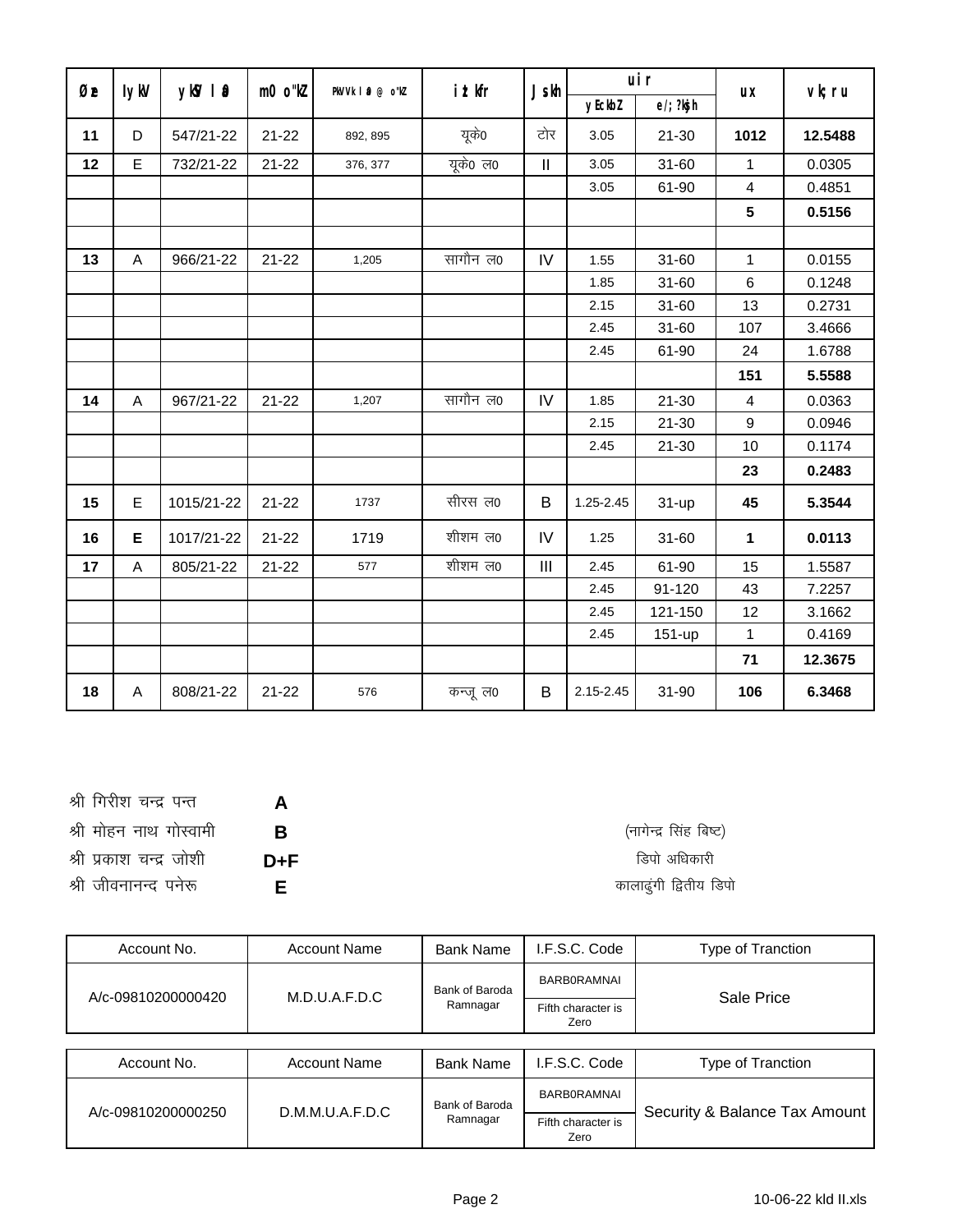| Øe | lykV                      | $ykW$   $\Omega$ | m0 o"kl   | PkVVk   0 @ o"kl | ittkfr   | $Js$ <sub>kh</sub>         | uir       |               | <b>UX</b>               | vk; ru  |
|----|---------------------------|------------------|-----------|------------------|----------|----------------------------|-----------|---------------|-------------------------|---------|
|    |                           |                  |           |                  |          |                            | yEckbl    | $e$ /; ?ksj h |                         |         |
| 11 | D                         | 547/21-22        | $21 - 22$ | 892, 895         | यूके0    | टोर                        | 3.05      | $21 - 30$     | 1012                    | 12.5488 |
| 12 | E                         | 732/21-22        | $21 - 22$ | 376, 377         | यूके0 ल0 | $\mathop{\rm II}\nolimits$ | 3.05      | $31 - 60$     | 1                       | 0.0305  |
|    |                           |                  |           |                  |          |                            | 3.05      | 61-90         | $\overline{\mathbf{4}}$ | 0.4851  |
|    |                           |                  |           |                  |          |                            |           |               | 5                       | 0.5156  |
|    |                           |                  |           |                  |          |                            |           |               |                         |         |
| 13 | A                         | 966/21-22        | $21 - 22$ | 1,205            | सागौन ल0 | IV                         | 1.55      | $31 - 60$     | $\mathbf 1$             | 0.0155  |
|    |                           |                  |           |                  |          |                            | 1.85      | $31 - 60$     | 6                       | 0.1248  |
|    |                           |                  |           |                  |          |                            | 2.15      | $31 - 60$     | 13                      | 0.2731  |
|    |                           |                  |           |                  |          |                            | 2.45      | $31 - 60$     | 107                     | 3.4666  |
|    |                           |                  |           |                  |          |                            | 2.45      | 61-90         | 24                      | 1.6788  |
|    |                           |                  |           |                  |          |                            |           |               | 151                     | 5.5588  |
| 14 | $\boldsymbol{\mathsf{A}}$ | 967/21-22        | $21 - 22$ | 1,207            | सागौन ल0 | IV                         | 1.85      | $21 - 30$     | $\overline{4}$          | 0.0363  |
|    |                           |                  |           |                  |          |                            | 2.15      | $21 - 30$     | $9\,$                   | 0.0946  |
|    |                           |                  |           |                  |          |                            | 2.45      | $21 - 30$     | 10                      | 0.1174  |
|    |                           |                  |           |                  |          |                            |           |               | 23                      | 0.2483  |
| 15 | E                         | 1015/21-22       | $21 - 22$ | 1737             | सीरस ल0  | B                          | 1.25-2.45 | $31 - up$     | 45                      | 5.3544  |
| 16 | E                         | 1017/21-22       | $21 - 22$ | 1719             | शीशम ल0  | IV                         | 1.25      | $31 - 60$     | 1                       | 0.0113  |
| 17 | A                         | 805/21-22        | $21 - 22$ | 577              | शीशम ल0  | III                        | 2.45      | 61-90         | 15                      | 1.5587  |
|    |                           |                  |           |                  |          |                            | 2.45      | 91-120        | 43                      | 7.2257  |
|    |                           |                  |           |                  |          |                            | 2.45      | 121-150       | 12                      | 3.1662  |
|    |                           |                  |           |                  |          |                            | 2.45      | 151-up        | $\mathbf 1$             | 0.4169  |
|    |                           |                  |           |                  |          |                            |           |               | 71                      | 12.3675 |
| 18 | A                         | 808/21-22        | $21 - 22$ | 576              | कन्जूल0  | B                          | 2.15-2.45 | 31-90         | 106                     | 6.3468  |

| A       | श्री गिरीश चन्द्र पन्त  |  |
|---------|-------------------------|--|
| B       | श्री मोहन नाथ गोस्वामी  |  |
| $D + F$ | श्री प्रकाश चन्द्र जोशी |  |
| E.      | श्री जीवनानन्द पनेरू    |  |

(नागेन्द्र सिंह बिष्ट) डिपो अधिकारी कालाढुंगी द्वितीय डिपो

| Account No.        | <b>Account Name</b> | <b>Bank Name</b> | I.F.S.C. Code              | Type of Tranction                                                                                                                                                                                                              |  |
|--------------------|---------------------|------------------|----------------------------|--------------------------------------------------------------------------------------------------------------------------------------------------------------------------------------------------------------------------------|--|
| A/c-09810200000420 | M.D.U.A.F.D.C       | Bank of Baroda   | <b>BARBORAMNAI</b>         | Sale Price                                                                                                                                                                                                                     |  |
|                    |                     | Ramnagar         | Fifth character is<br>Zero |                                                                                                                                                                                                                                |  |
|                    |                     |                  |                            |                                                                                                                                                                                                                                |  |
|                    |                     |                  | <b>FOO OUL</b>             | The contract of the contract of the contract of the contract of the contract of the contract of the contract of the contract of the contract of the contract of the contract of the contract of the contract of the contract o |  |

| Account No.        | <b>Account Name</b> | <b>Bank Name</b> | I.F.S.C. Code              | Type of Tranction             |  |
|--------------------|---------------------|------------------|----------------------------|-------------------------------|--|
| A/c-09810200000250 | D.M.M.U.A.F.D.C     | Bank of Baroda   | <b>BARBORAMNAI</b>         | Security & Balance Tax Amount |  |
|                    |                     | Ramnagar         | Fifth character is<br>Zero |                               |  |